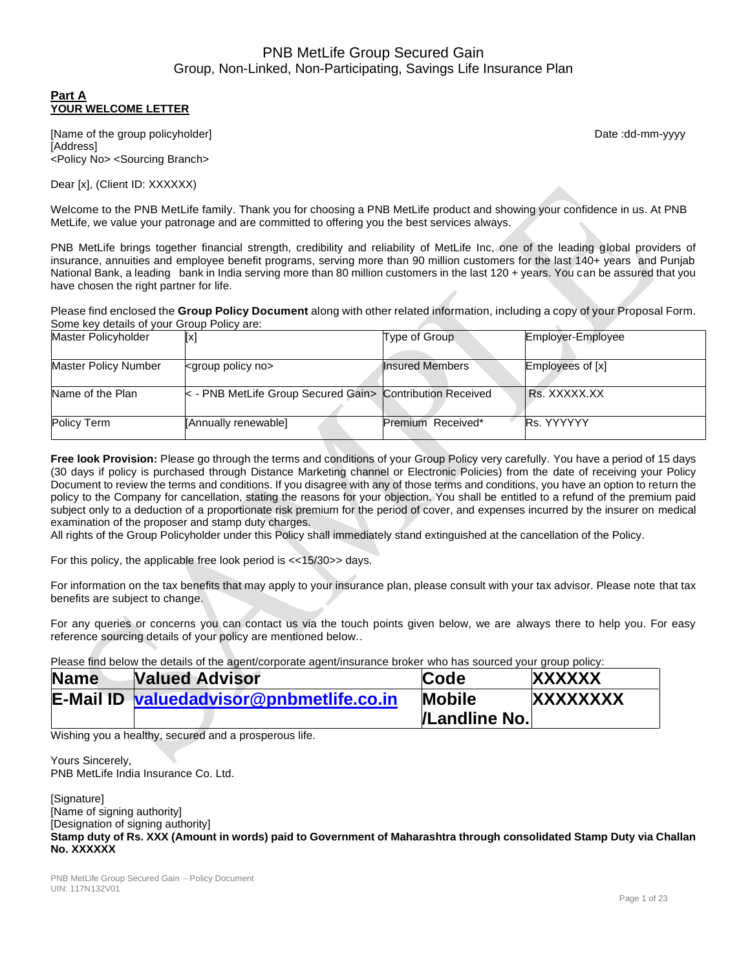### **Part A YOUR WELCOME LETTER**

[Name of the group policyholder] example and the group policyholder] and the control of the group policyholder] [Address] <Policy No> <Sourcing Branch>

Dear [x], (Client ID: XXXXXX)

Welcome to the PNB MetLife family. Thank you for choosing a PNB MetLife product and showing your confidence in us. At PNB MetLife, we value your patronage and are committed to offering you the best services always.

PNB MetLife brings together financial strength, credibility and reliability of MetLife Inc, one of the leading global providers of insurance, annuities and employee benefit programs, serving more than 90 million customers for the last 140+ years and Punjab National Bank, a leading bank in India serving more than 80 million customers in the last 120 + years. You can be assured that you have chosen the right partner for life.

Please find enclosed the **Group Policy Document** along with other related information, including a copy of your Proposal Form. Some key details of your Group Policy are:

| Master Policyholder  | [x]                                                            | Type of Group          | Employer-Employee |
|----------------------|----------------------------------------------------------------|------------------------|-------------------|
| Master Policy Number | <group no="" policy=""></group>                                | <b>Insured Members</b> | Employees of [x]  |
| Name of the Plan     | $\lt$ - PNB MetLife Group Secured Gain > Contribution Received |                        | IRs. XXXXX.XX     |
| Policy Term          | [Annually renewable]                                           | Premium Received*      | Rs. YYYYYY        |

**Free look Provision:** Please go through the terms and conditions of your Group Policy very carefully. You have a period of 15 days (30 days if policy is purchased through Distance Marketing channel or Electronic Policies) from the date of receiving your Policy Document to review the terms and conditions. If you disagree with any of those terms and conditions, you have an option to return the policy to the Company for cancellation, stating the reasons for your objection. You shall be entitled to a refund of the premium paid subject only to a deduction of a proportionate risk premium for the period of cover, and expenses incurred by the insurer on medical examination of the proposer and stamp duty charges.

All rights of the Group Policyholder under this Policy shall immediately stand extinguished at the cancellation of the Policy.

For this policy, the applicable free look period is <<15/30>> days.

For information on the tax benefits that may apply to your insurance plan, please consult with your tax advisor. Please note that tax benefits are subject to change.

For any queries or concerns you can contact us via the touch points given below, we are always there to help you. For easy reference sourcing details of your policy are mentioned below..

Please find below the details of the agent/corporate agent/insurance broker who has sourced your group policy:

| <b>Name</b> | <b>Valued Advisor</b>                           | Code          | <b>XXXXXX</b> |
|-------------|-------------------------------------------------|---------------|---------------|
|             | <b>E-Mail ID valuedadvisor@pnbmetlife.co.in</b> | <b>Mobile</b> | XXXXXXXX      |
|             |                                                 | /Landline No. |               |

Wishing you a healthy, secured and a prosperous life.

Yours Sincerely, PNB MetLife India Insurance Co. Ltd.

[Signature] [Name of signing authority] [Designation of signing authority] **Stamp duty of Rs. XXX (Amount in words) paid to Government of Maharashtra through consolidated Stamp Duty via Challan No. XXXXXX**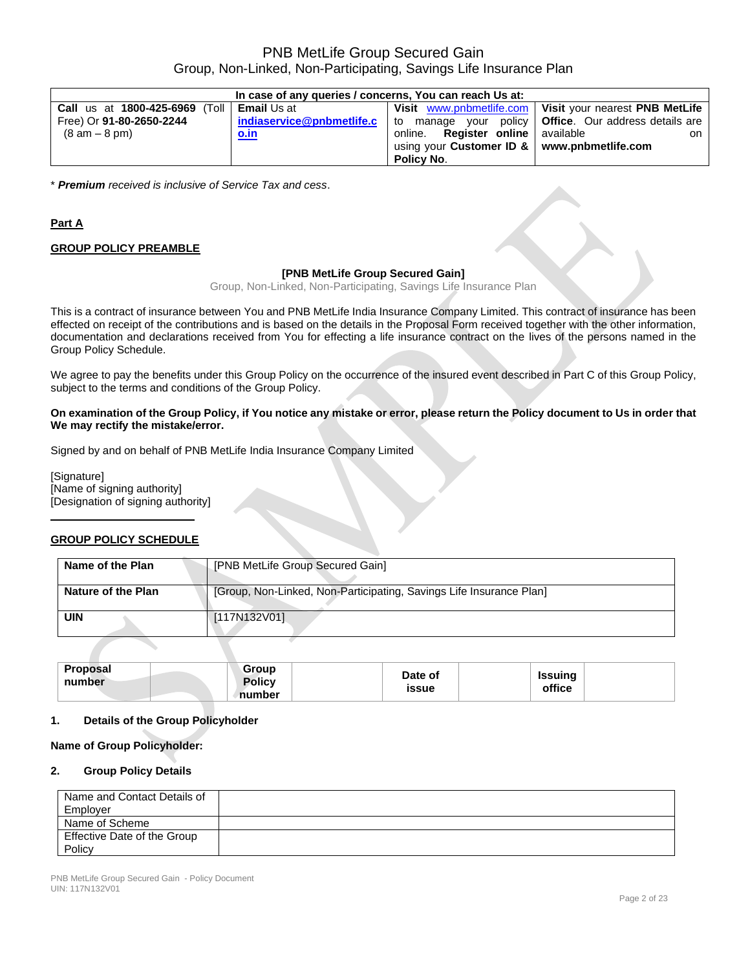| In case of any queries / concerns, You can reach Us at: |             |                                                |                                                                                     |  |
|---------------------------------------------------------|-------------|------------------------------------------------|-------------------------------------------------------------------------------------|--|
| <b>Call us at 1800-425-6969 (Toll   Email Us at</b>     |             |                                                | Visit www.pnbmetlife.com   Visit your nearest PNB MetLife                           |  |
| Free) Or 91-80-2650-2244                                |             |                                                | indiaservice@pnbmetlife.c   to manage your policy   Office. Our address details are |  |
| $(8 am - 8 pm)$                                         | <u>o.in</u> | online. Register online available              | on I                                                                                |  |
|                                                         |             | using your Customer ID $\&$ www.pnbmetlife.com |                                                                                     |  |
|                                                         |             | <b>Policy No.</b>                              |                                                                                     |  |

\* *Premium received is inclusive of Service Tax and cess*.

## **Part A**

### **GROUP POLICY PREAMBLE**

### **[PNB MetLife Group Secured Gain]**

Group, Non-Linked, Non-Participating, Savings Life Insurance Plan

This is a contract of insurance between You and PNB MetLife India Insurance Company Limited. This contract of insurance has been effected on receipt of the contributions and is based on the details in the Proposal Form received together with the other information, documentation and declarations received from You for effecting a life insurance contract on the lives of the persons named in the Group Policy Schedule.

We agree to pay the benefits under this Group Policy on the occurrence of the insured event described in Part C of this Group Policy, subject to the terms and conditions of the Group Policy.

### **On examination of the Group Policy, if You notice any mistake or error, please return the Policy document to Us in order that We may rectify the mistake/error.**

Signed by and on behalf of PNB MetLife India Insurance Company Limited

[Signature] [Name of signing authority] [Designation of signing authority]

### **GROUP POLICY SCHEDULE**

| Name of the Plan   | [PNB MetLife Group Secured Gain]                                    |
|--------------------|---------------------------------------------------------------------|
| Nature of the Plan | [Group, Non-Linked, Non-Participating, Savings Life Insurance Plan] |
| UIN                | [117N132V01]                                                        |

| Proposal<br>Group<br><b>Policy</b><br>number<br>number | Date of<br>Issuina<br>office<br><b>issue</b> |  |
|--------------------------------------------------------|----------------------------------------------|--|
|--------------------------------------------------------|----------------------------------------------|--|

### **1. Details of the Group Policyholder**

#### **Name of Group Policyholder:**

#### **2. Group Policy Details**

| Name and Contact Details of<br>Employer |  |
|-----------------------------------------|--|
| Name of Scheme                          |  |
| Effective Date of the Group             |  |
| Policy                                  |  |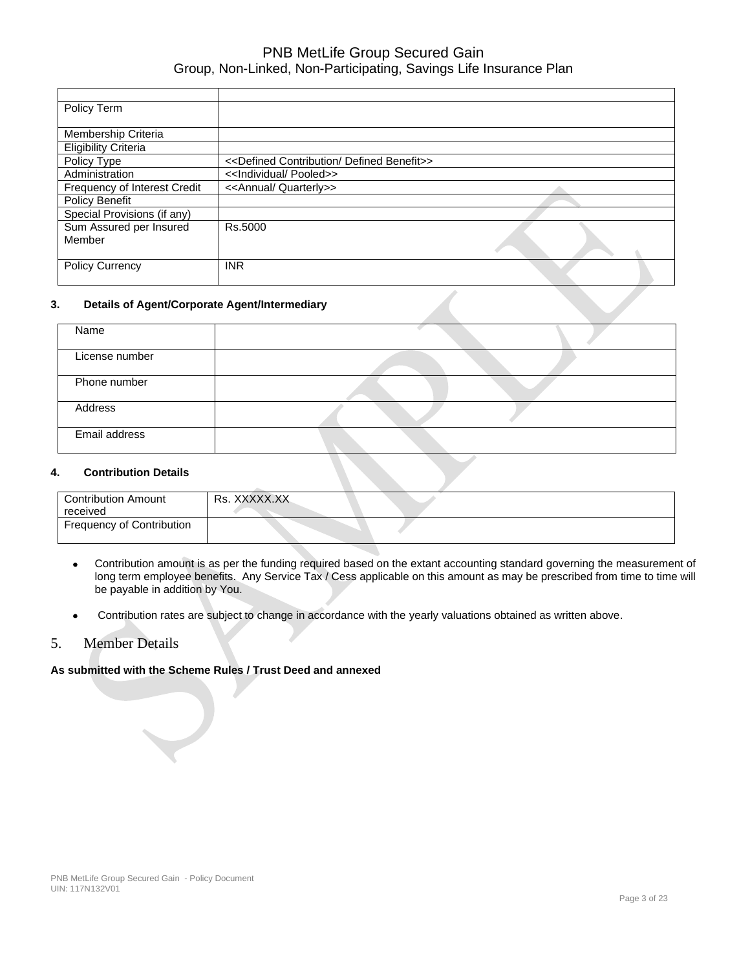| Policy Term                  |                                                                 |  |
|------------------------------|-----------------------------------------------------------------|--|
|                              |                                                                 |  |
| Membership Criteria          |                                                                 |  |
| <b>Eligibility Criteria</b>  |                                                                 |  |
| Policy Type                  | < <defined benefit="" contribution="" defined="">&gt;</defined> |  |
| Administration               | < <lndividual pooled="">&gt;</lndividual>                       |  |
| Frequency of Interest Credit | < <annual quarterly="">&gt;</annual>                            |  |
| Policy Benefit               |                                                                 |  |
| Special Provisions (if any)  |                                                                 |  |
| Sum Assured per Insured      | Rs.5000                                                         |  |
| Member                       |                                                                 |  |
|                              |                                                                 |  |
| <b>Policy Currency</b>       | <b>INR</b>                                                      |  |
|                              |                                                                 |  |

### **3. Details of Agent/Corporate Agent/Intermediary**

| Name           |  |
|----------------|--|
|                |  |
| License number |  |
|                |  |
| Phone number   |  |
|                |  |
| Address        |  |
|                |  |
| Email address  |  |
|                |  |

### **4. Contribution Details**

| <b>Contribution Amount</b> | Rs. XXXXX.XX |
|----------------------------|--------------|
|                            |              |
| received                   |              |
|                            |              |
| Frequency of Contribution  |              |
|                            |              |
|                            |              |
|                            |              |

- Contribution amount is as per the funding required based on the extant accounting standard governing the measurement of long term employee benefits. Any Service Tax / Cess applicable on this amount as may be prescribed from time to time will be payable in addition by You.
- Contribution rates are subject to change in accordance with the yearly valuations obtained as written above.

### 5. Member Details

### **As submitted with the Scheme Rules / Trust Deed and annexed**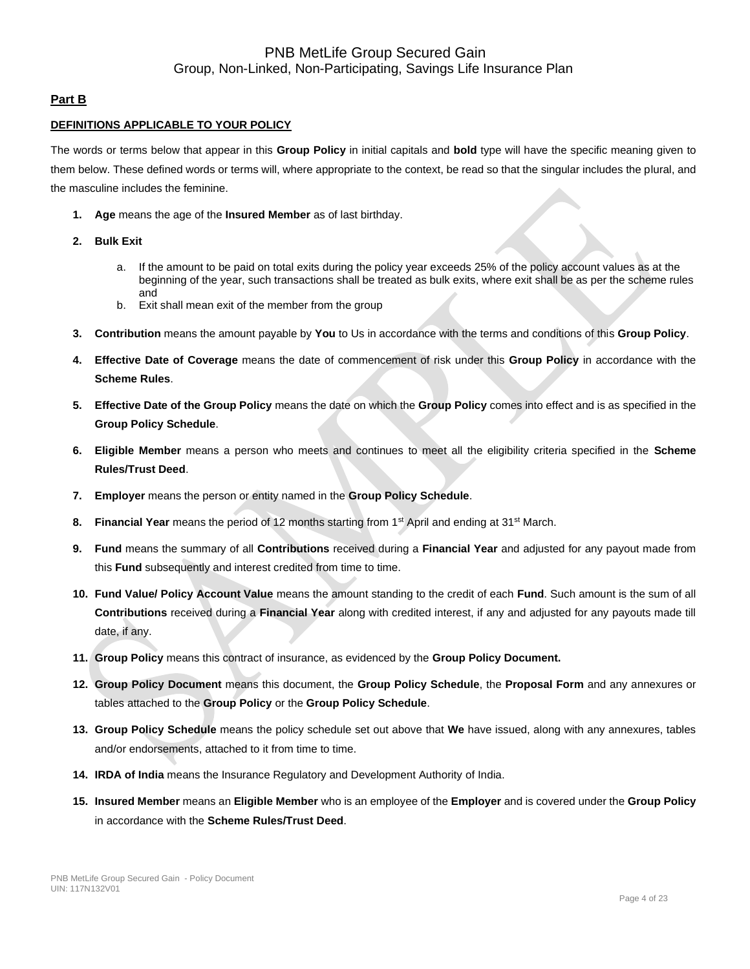### **Part B**

### **DEFINITIONS APPLICABLE TO YOUR POLICY**

The words or terms below that appear in this **Group Policy** in initial capitals and **bold** type will have the specific meaning given to them below. These defined words or terms will, where appropriate to the context, be read so that the singular includes the plural, and the masculine includes the feminine.

- **1. Age** means the age of the **Insured Member** as of last birthday.
- **2. Bulk Exit** 
	- a. If the amount to be paid on total exits during the policy year exceeds 25% of the policy account values as at the beginning of the year, such transactions shall be treated as bulk exits, where exit shall be as per the scheme rules and
	- b. Exit shall mean exit of the member from the group
- **3. Contribution** means the amount payable by **You** to Us in accordance with the terms and conditions of this **Group Policy**.
- **4. Effective Date of Coverage** means the date of commencement of risk under this **Group Policy** in accordance with the **Scheme Rules**.
- **5. Effective Date of the Group Policy** means the date on which the **Group Policy** comes into effect and is as specified in the **Group Policy Schedule**.
- **6. Eligible Member** means a person who meets and continues to meet all the eligibility criteria specified in the **Scheme Rules/Trust Deed**.
- **7. Employer** means the person or entity named in the **Group Policy Schedule**.
- **8. Financial Year** means the period of 12 months starting from 1st April and ending at 31st March.
- **9. Fund** means the summary of all **Contributions** received during a **Financial Year** and adjusted for any payout made from this **Fund** subsequently and interest credited from time to time.
- **10. Fund Value/ Policy Account Value** means the amount standing to the credit of each **Fund**. Such amount is the sum of all **Contributions** received during a **Financial Year** along with credited interest, if any and adjusted for any payouts made till date, if any.
- **11. Group Policy** means this contract of insurance, as evidenced by the **Group Policy Document.**
- **12. Group Policy Document** means this document, the **Group Policy Schedule**, the **Proposal Form** and any annexures or tables attached to the **Group Policy** or the **Group Policy Schedule**.
- **13. Group Policy Schedule** means the policy schedule set out above that **We** have issued, along with any annexures, tables and/or endorsements, attached to it from time to time.
- **14. IRDA of India** means the Insurance Regulatory and Development Authority of India.
- **15. Insured Member** means an **Eligible Member** who is an employee of the **Employer** and is covered under the **Group Policy** in accordance with the **Scheme Rules/Trust Deed**.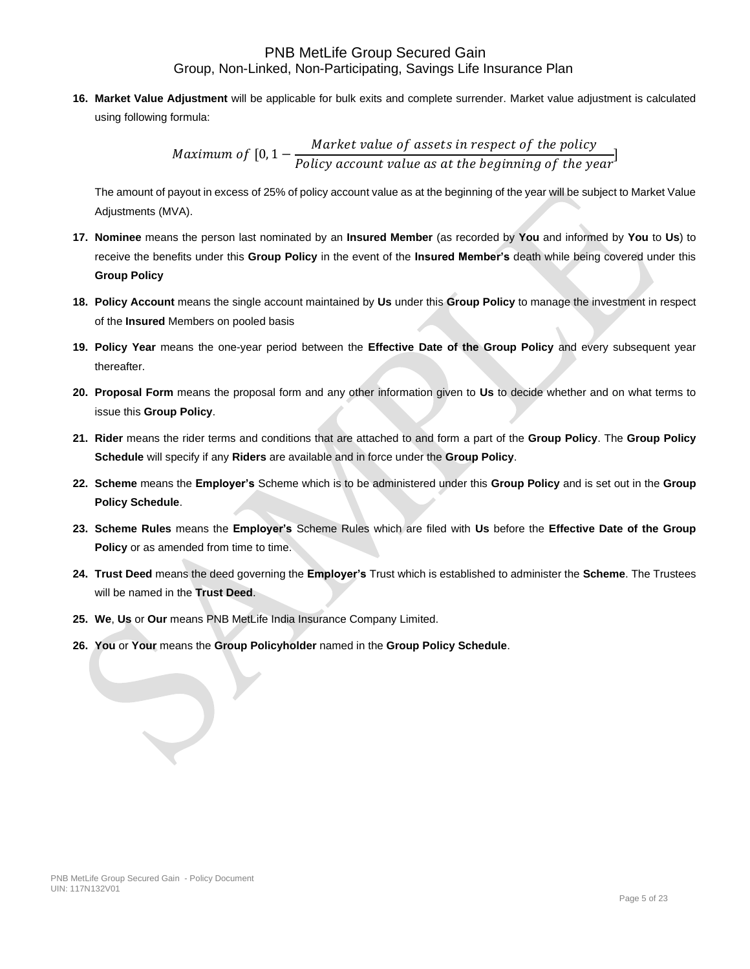**16. Market Value Adjustment** will be applicable for bulk exits and complete surrender. Market value adjustment is calculated using following formula:

> Maximum of [0, 1 − Market value of assets in respect of the policy Policy account value as at the beginning of the year<sup>]</sup>

The amount of payout in excess of 25% of policy account value as at the beginning of the year will be subject to Market Value Adjustments (MVA).

- **17. Nominee** means the person last nominated by an **Insured Member** (as recorded by **You** and informed by **You** to **Us**) to receive the benefits under this **Group Policy** in the event of the **Insured Member's** death while being covered under this **Group Policy**
- **18. Policy Account** means the single account maintained by **Us** under this **Group Policy** to manage the investment in respect of the **Insured** Members on pooled basis
- **19. Policy Year** means the one-year period between the **Effective Date of the Group Policy** and every subsequent year thereafter.
- **20. Proposal Form** means the proposal form and any other information given to **Us** to decide whether and on what terms to issue this **Group Policy**.
- **21. Rider** means the rider terms and conditions that are attached to and form a part of the **Group Policy**. The **Group Policy Schedule** will specify if any **Riders** are available and in force under the **Group Policy**.
- **22. Scheme** means the **Employer's** Scheme which is to be administered under this **Group Policy** and is set out in the **Group Policy Schedule**.
- **23. Scheme Rules** means the **Employer's** Scheme Rules which are filed with **Us** before the **Effective Date of the Group Policy** or as amended from time to time.
- **24. Trust Deed** means the deed governing the **Employer's** Trust which is established to administer the **Scheme**. The Trustees will be named in the **Trust Deed**.
- **25. We**, **Us** or **Our** means PNB MetLife India Insurance Company Limited.
- **26. You** or **Your** means the **Group Policyholder** named in the **Group Policy Schedule**.

 $\bigcup$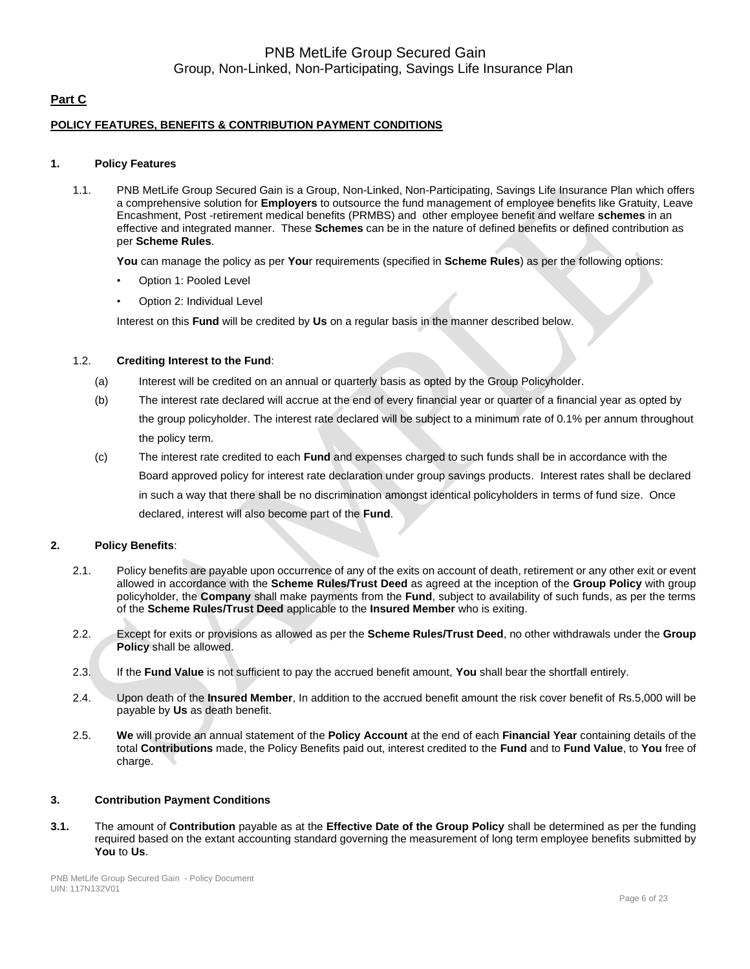## **Part C**

### **POLICY FEATURES, BENEFITS & CONTRIBUTION PAYMENT CONDITIONS**

### **1. Policy Features**

1.1. PNB MetLife Group Secured Gain is a Group, Non-Linked, Non-Participating, Savings Life Insurance Plan which offers a comprehensive solution for **Employers** to outsource the fund management of employee benefits like Gratuity, Leave Encashment, Post -retirement medical benefits (PRMBS) and other employee benefit and welfare **schemes** in an effective and integrated manner. These **Schemes** can be in the nature of defined benefits or defined contribution as per **Scheme Rules**.

**You** can manage the policy as per **You**r requirements (specified in **Scheme Rules**) as per the following options:

- Option 1: Pooled Level
- Option 2: Individual Level

Interest on this **Fund** will be credited by **Us** on a regular basis in the manner described below.

#### 1.2. **Crediting Interest to the Fund**:

- (a) Interest will be credited on an annual or quarterly basis as opted by the Group Policyholder.
- (b) The interest rate declared will accrue at the end of every financial year or quarter of a financial year as opted by the group policyholder. The interest rate declared will be subject to a minimum rate of 0.1% per annum throughout the policy term.
- (c) The interest rate credited to each **Fund** and expenses charged to such funds shall be in accordance with the Board approved policy for interest rate declaration under group savings products. Interest rates shall be declared in such a way that there shall be no discrimination amongst identical policyholders in terms of fund size. Once declared, interest will also become part of the **Fund**.

### **2. Policy Benefits**:

- 2.1. Policy benefits are payable upon occurrence of any of the exits on account of death, retirement or any other exit or event allowed in accordance with the **Scheme Rules/Trust Deed** as agreed at the inception of the **Group Policy** with group policyholder, the **Company** shall make payments from the **Fund**, subject to availability of such funds, as per the terms of the **Scheme Rules/Trust Deed** applicable to the **Insured Member** who is exiting.
- 2.2. Except for exits or provisions as allowed as per the **Scheme Rules/Trust Deed**, no other withdrawals under the **Group Policy** shall be allowed.
- 2.3. If the **Fund Value** is not sufficient to pay the accrued benefit amount, **You** shall bear the shortfall entirely.
- 2.4. Upon death of the **Insured Member**, In addition to the accrued benefit amount the risk cover benefit of Rs.5,000 will be payable by **Us** as death benefit.
- 2.5. **We** will provide an annual statement of the **Policy Account** at the end of each **Financial Year** containing details of the total **Contributions** made, the Policy Benefits paid out, interest credited to the **Fund** and to **Fund Value**, to **You** free of charge.

#### **3. Contribution Payment Conditions**

**3.1.** The amount of **Contribution** payable as at the **Effective Date of the Group Policy** shall be determined as per the funding required based on the extant accounting standard governing the measurement of long term employee benefits submitted by **You** to **Us**.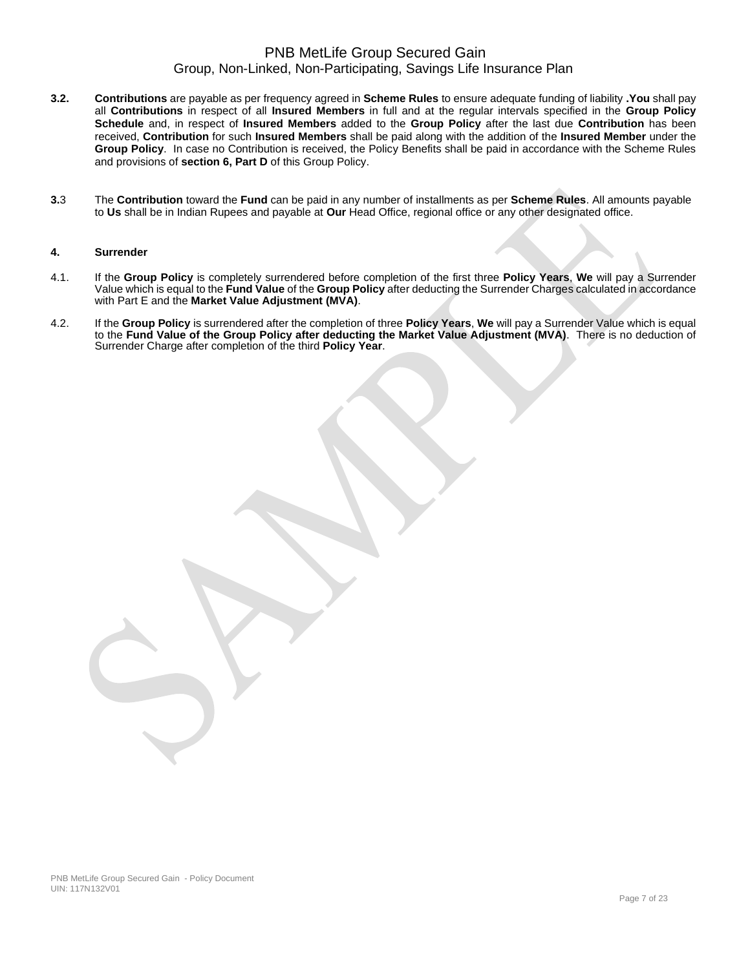- **3.2. Contributions** are payable as per frequency agreed in **Scheme Rules** to ensure adequate funding of liability **.You** shall pay all **Contributions** in respect of all **Insured Members** in full and at the regular intervals specified in the **Group Policy Schedule** and, in respect of **Insured Members** added to the **Group Policy** after the last due **Contribution** has been received, **Contribution** for such **Insured Members** shall be paid along with the addition of the **Insured Member** under the **Group Policy**. In case no Contribution is received, the Policy Benefits shall be paid in accordance with the Scheme Rules and provisions of **section 6, Part D** of this Group Policy.
- **3.**3 The **Contribution** toward the **Fund** can be paid in any number of installments as per **Scheme Rules**. All amounts payable to **Us** shall be in Indian Rupees and payable at **Our** Head Office, regional office or any other designated office.

#### **4. Surrender**

- 4.1. If the **Group Policy** is completely surrendered before completion of the first three **Policy Years**, **We** will pay a Surrender Value which is equal to the **Fund Value** of the **Group Policy** after deducting the Surrender Charges calculated in accordance with Part E and the **Market Value Adjustment (MVA)**.
- 4.2. If the **Group Policy** is surrendered after the completion of three **Policy Years**, **We** will pay a Surrender Value which is equal to the **Fund Value of the Group Policy after deducting the Market Value Adjustment (MVA)**. There is no deduction of Surrender Charge after completion of the third **Policy Year**.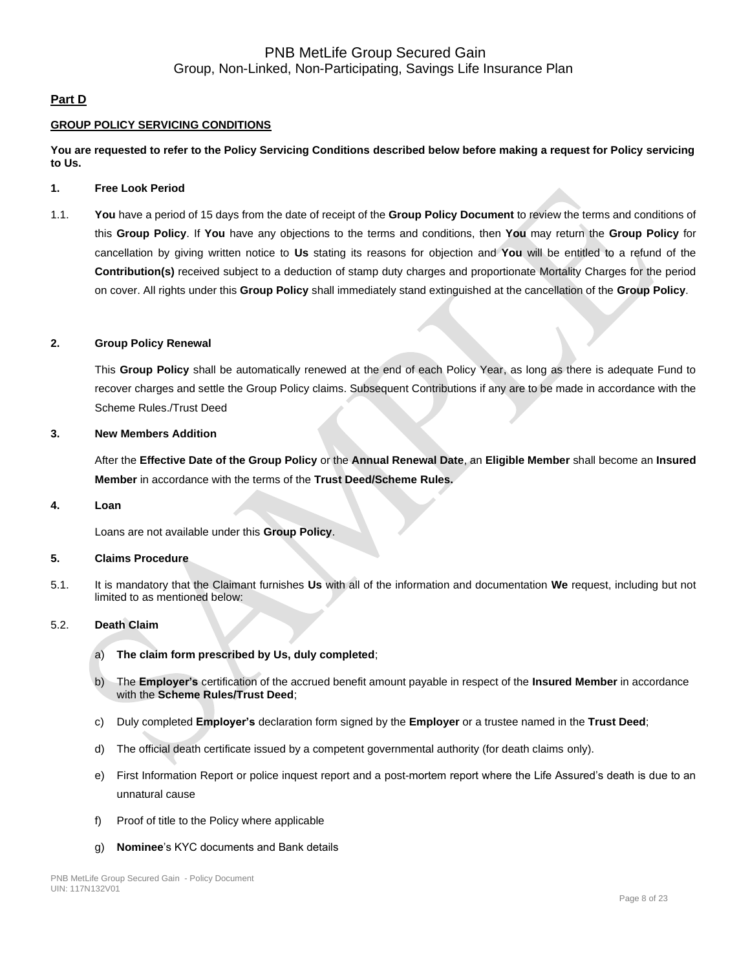### **Part D**

### **GROUP POLICY SERVICING CONDITIONS**

**You are requested to refer to the Policy Servicing Conditions described below before making a request for Policy servicing to Us.**

### **1. Free Look Period**

1.1. **You** have a period of 15 days from the date of receipt of the **Group Policy Document** to review the terms and conditions of this **Group Policy**. If **You** have any objections to the terms and conditions, then **You** may return the **Group Policy** for cancellation by giving written notice to **Us** stating its reasons for objection and **You** will be entitled to a refund of the **Contribution(s)** received subject to a deduction of stamp duty charges and proportionate Mortality Charges for the period on cover. All rights under this **Group Policy** shall immediately stand extinguished at the cancellation of the **Group Policy**.

### **2. Group Policy Renewal**

This **Group Policy** shall be automatically renewed at the end of each Policy Year, as long as there is adequate Fund to recover charges and settle the Group Policy claims. Subsequent Contributions if any are to be made in accordance with the Scheme Rules./Trust Deed

#### **3. New Members Addition**

After the **Effective Date of the Group Policy** or the **Annual Renewal Date**, an **Eligible Member** shall become an **Insured Member** in accordance with the terms of the **Trust Deed/Scheme Rules.**

**4. Loan**

Loans are not available under this **Group Policy**.

### **5. Claims Procedure**

5.1. It is mandatory that the Claimant furnishes **Us** with all of the information and documentation **We** request, including but not limited to as mentioned below:

### 5.2. **Death Claim**

- a) **The claim form prescribed by Us, duly completed**;
- b) The **Employer's** certification of the accrued benefit amount payable in respect of the **Insured Member** in accordance with the **Scheme Rules/Trust Deed**;
- c) Duly completed **Employer's** declaration form signed by the **Employer** or a trustee named in the **Trust Deed**;
- d) The official death certificate issued by a competent governmental authority (for death claims only).
- e) First Information Report or police inquest report and a post-mortem report where the Life Assured's death is due to an unnatural cause
- f) Proof of title to the Policy where applicable
- g) **Nominee**'s KYC documents and Bank details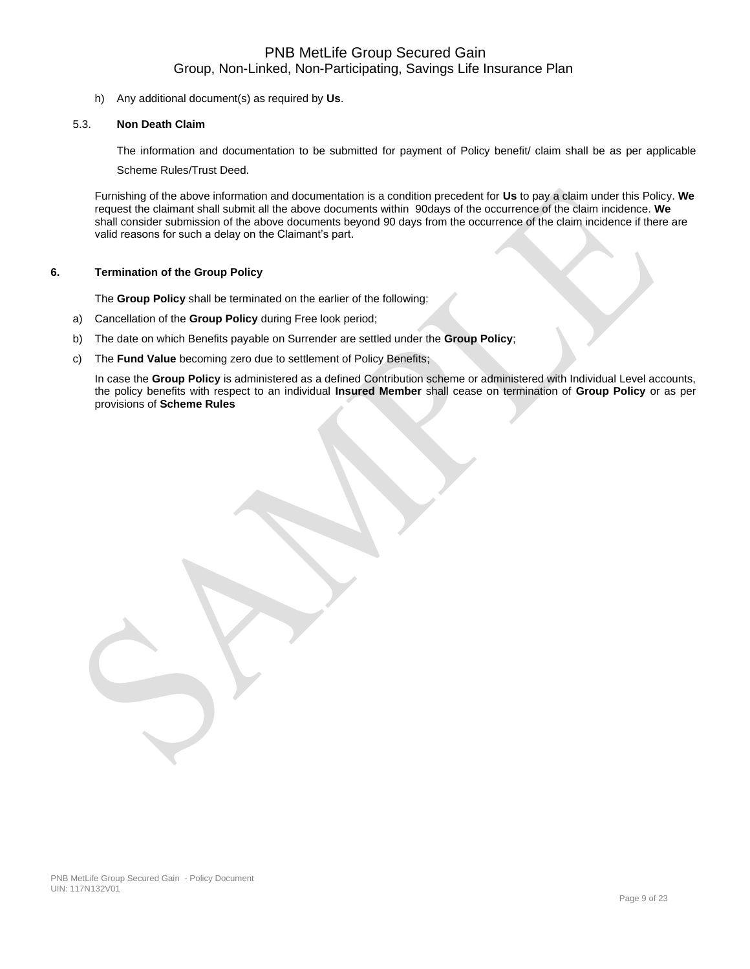h) Any additional document(s) as required by **Us**.

### 5.3. **Non Death Claim**

The information and documentation to be submitted for payment of Policy benefit/ claim shall be as per applicable Scheme Rules/Trust Deed.

Furnishing of the above information and documentation is a condition precedent for **Us** to pay a claim under this Policy. **We** request the claimant shall submit all the above documents within 90days of the occurrence of the claim incidence. **We** shall consider submission of the above documents beyond 90 days from the occurrence of the claim incidence if there are valid reasons for such a delay on the Claimant's part.

### **6. Termination of the Group Policy**

The **Group Policy** shall be terminated on the earlier of the following:

- a) Cancellation of the **Group Policy** during Free look period;
- b) The date on which Benefits payable on Surrender are settled under the **Group Policy**;
- c) The **Fund Value** becoming zero due to settlement of Policy Benefits;

In case the **Group Policy** is administered as a defined Contribution scheme or administered with Individual Level accounts, the policy benefits with respect to an individual **Insured Member** shall cease on termination of **Group Policy** or as per provisions of **Scheme Rules**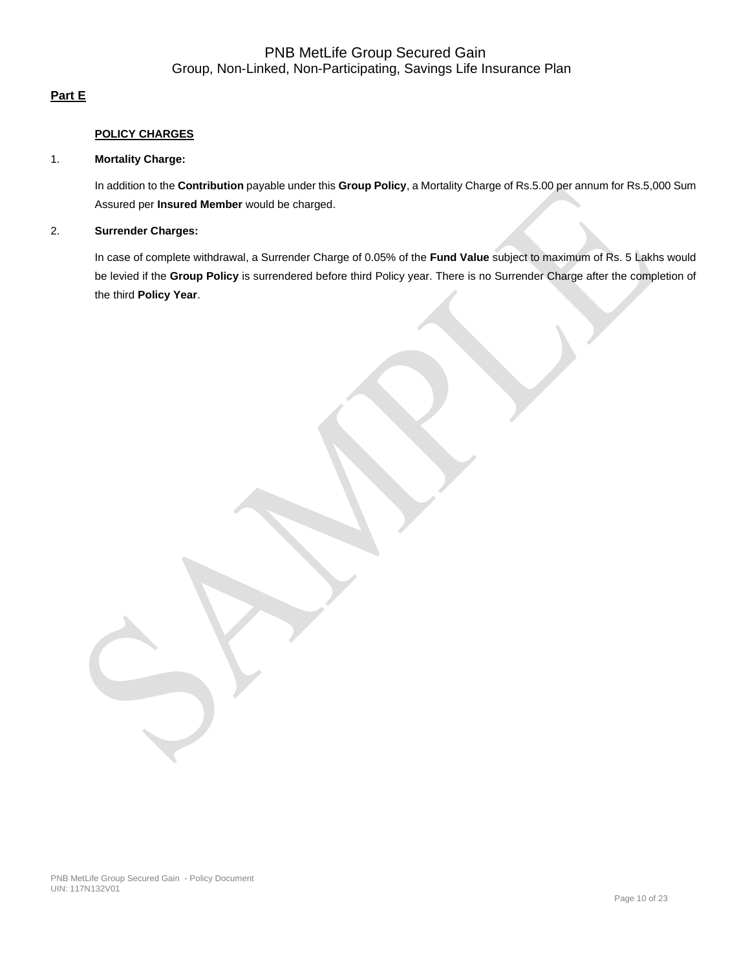## **Part E**

### **POLICY CHARGES**

### 1. **Mortality Charge:**

In addition to the **Contribution** payable under this **Group Policy**, a Mortality Charge of Rs.5.00 per annum for Rs.5,000 Sum Assured per **Insured Member** would be charged.

## 2. **Surrender Charges:**

In case of complete withdrawal, a Surrender Charge of 0.05% of the **Fund Value** subject to maximum of Rs. 5 Lakhs would be levied if the **Group Policy** is surrendered before third Policy year. There is no Surrender Charge after the completion of the third **Policy Year**.

PNB MetLife Group Secured Gain - Policy Document UIN: 117N132V01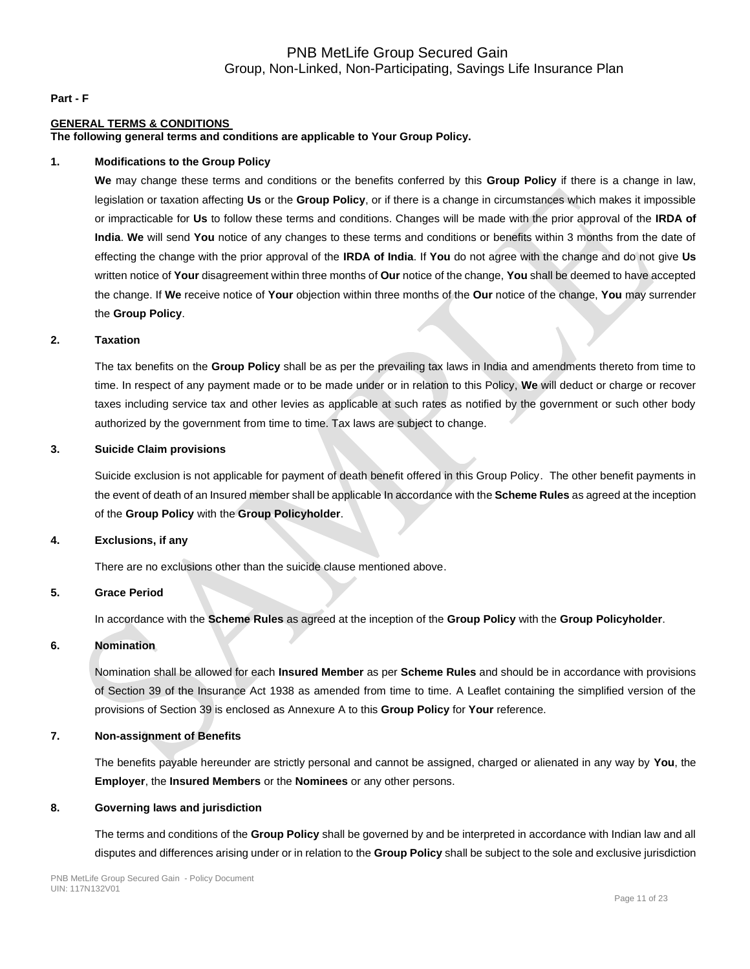#### **Part - F**

### **GENERAL TERMS & CONDITIONS**

**The following general terms and conditions are applicable to Your Group Policy.** 

#### **1. Modifications to the Group Policy**

**We** may change these terms and conditions or the benefits conferred by this **Group Policy** if there is a change in law, legislation or taxation affecting **Us** or the **Group Policy**, or if there is a change in circumstances which makes it impossible or impracticable for **Us** to follow these terms and conditions. Changes will be made with the prior approval of the **IRDA of India**. **We** will send **You** notice of any changes to these terms and conditions or benefits within 3 months from the date of effecting the change with the prior approval of the **IRDA of India**. If **You** do not agree with the change and do not give **Us** written notice of **Your** disagreement within three months of **Our** notice of the change, **You** shall be deemed to have accepted the change. If **We** receive notice of **Your** objection within three months of the **Our** notice of the change, **You** may surrender the **Group Policy**.

#### **2. Taxation**

The tax benefits on the **Group Policy** shall be as per the prevailing tax laws in India and amendments thereto from time to time. In respect of any payment made or to be made under or in relation to this Policy, **We** will deduct or charge or recover taxes including service tax and other levies as applicable at such rates as notified by the government or such other body authorized by the government from time to time. Tax laws are subject to change.

#### **3. Suicide Claim provisions**

Suicide exclusion is not applicable for payment of death benefit offered in this Group Policy. The other benefit payments in the event of death of an Insured member shall be applicable In accordance with the **Scheme Rules** as agreed at the inception of the **Group Policy** with the **Group Policyholder**.

### **4. Exclusions, if any**

There are no exclusions other than the suicide clause mentioned above.

### **5. Grace Period**

In accordance with the **Scheme Rules** as agreed at the inception of the **Group Policy** with the **Group Policyholder**.

#### **6. Nomination**

Nomination shall be allowed for each **Insured Member** as per **Scheme Rules** and should be in accordance with provisions of Section 39 of the Insurance Act 1938 as amended from time to time. A Leaflet containing the simplified version of the provisions of Section 39 is enclosed as Annexure A to this **Group Policy** for **Your** reference.

### **7. Non-assignment of Benefits**

The benefits payable hereunder are strictly personal and cannot be assigned, charged or alienated in any way by **You**, the **Employer**, the **Insured Members** or the **Nominees** or any other persons.

#### **8. Governing laws and jurisdiction**

The terms and conditions of the **Group Policy** shall be governed by and be interpreted in accordance with Indian law and all disputes and differences arising under or in relation to the **Group Policy** shall be subject to the sole and exclusive jurisdiction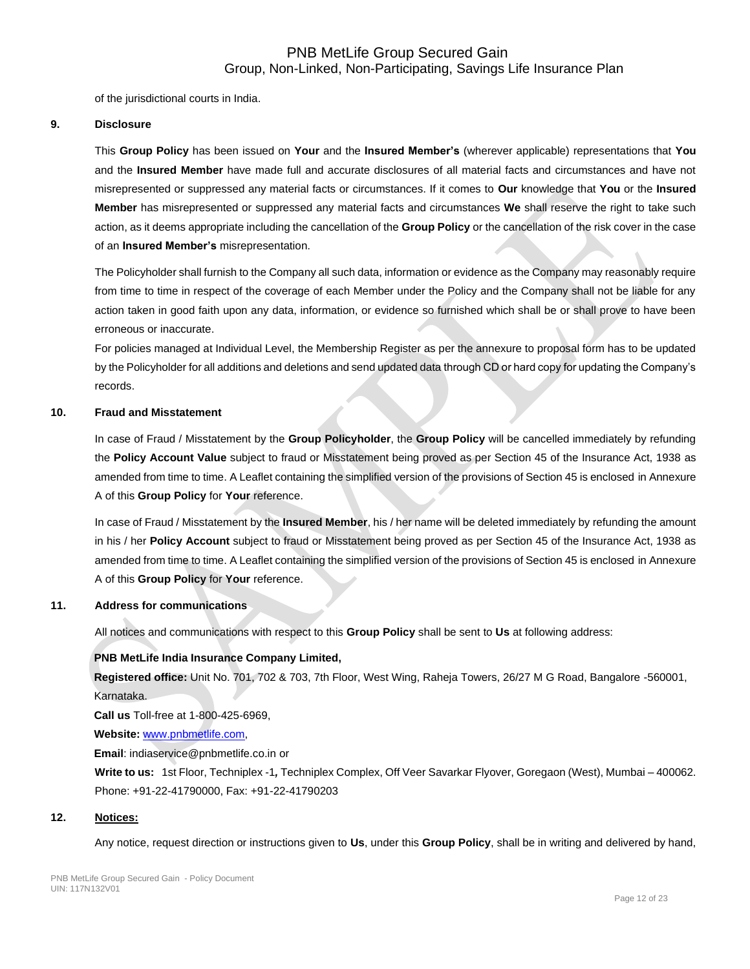of the jurisdictional courts in India.

### **9. Disclosure**

This **Group Policy** has been issued on **Your** and the **Insured Member's** (wherever applicable) representations that **You** and the **Insured Member** have made full and accurate disclosures of all material facts and circumstances and have not misrepresented or suppressed any material facts or circumstances. If it comes to **Our** knowledge that **You** or the **Insured Member** has misrepresented or suppressed any material facts and circumstances **We** shall reserve the right to take such action, as it deems appropriate including the cancellation of the **Group Policy** or the cancellation of the risk cover in the case of an **Insured Member's** misrepresentation.

The Policyholder shall furnish to the Company all such data, information or evidence as the Company may reasonably require from time to time in respect of the coverage of each Member under the Policy and the Company shall not be liable for any action taken in good faith upon any data, information, or evidence so furnished which shall be or shall prove to have been erroneous or inaccurate.

For policies managed at Individual Level, the Membership Register as per the annexure to proposal form has to be updated by the Policyholder for all additions and deletions and send updated data through CD or hard copy for updating the Company's records.

### **10. Fraud and Misstatement**

In case of Fraud / Misstatement by the **Group Policyholder**, the **Group Policy** will be cancelled immediately by refunding the **Policy Account Value** subject to fraud or Misstatement being proved as per Section 45 of the Insurance Act, 1938 as amended from time to time. A Leaflet containing the simplified version of the provisions of Section 45 is enclosed in Annexure A of this **Group Policy** for **Your** reference.

In case of Fraud / Misstatement by the **Insured Member**, his / her name will be deleted immediately by refunding the amount in his / her **Policy Account** subject to fraud or Misstatement being proved as per Section 45 of the Insurance Act, 1938 as amended from time to time. A Leaflet containing the simplified version of the provisions of Section 45 is enclosed in Annexure A of this **Group Policy** for **Your** reference.

### **11. Address for communications**

All notices and communications with respect to this **Group Policy** shall be sent to **Us** at following address:

### **PNB MetLife India Insurance Company Limited,**

**Registered office:** Unit No. 701, 702 & 703, 7th Floor, West Wing, Raheja Towers, 26/27 M G Road, Bangalore -560001, Karnataka.

**Call us** Toll-free at 1-800-425-6969,

**Website:** [www.pnbmetlife.com,](http://www.pnbmetlife.com/)

**Email**: indiaservice@pnbmetlife.co.in or

**Write to us:** 1st Floor, Techniplex -1*,* Techniplex Complex, Off Veer Savarkar Flyover, Goregaon (West), Mumbai – 400062. Phone: +91-22-41790000, Fax: +91-22-41790203

### **12. Notices:**

Any notice, request direction or instructions given to **Us**, under this **Group Policy**, shall be in writing and delivered by hand,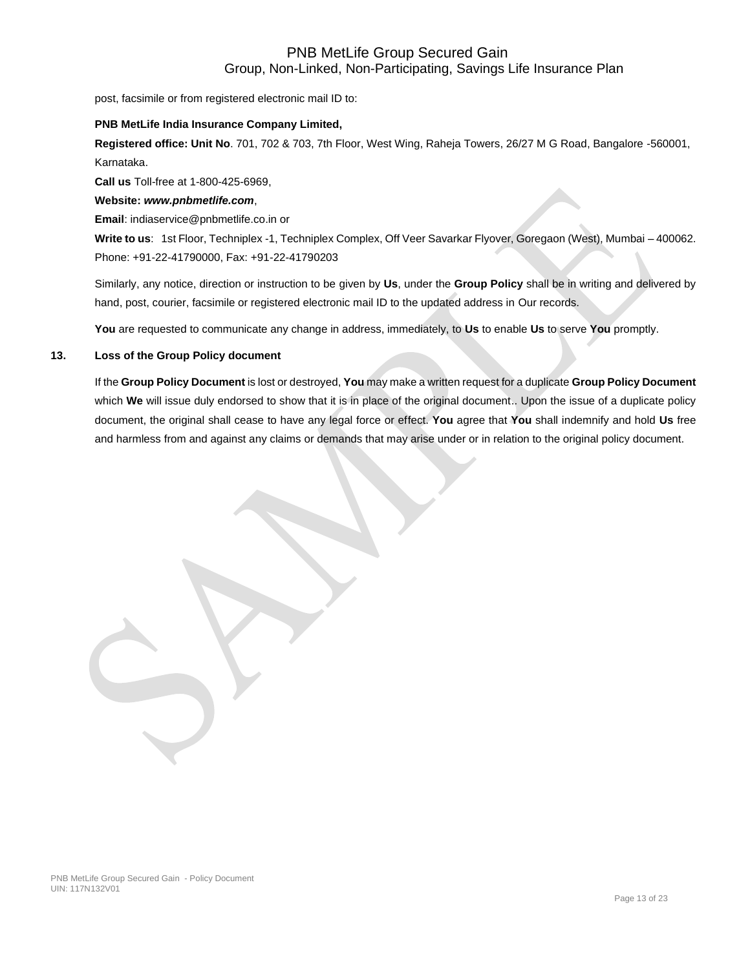post, facsimile or from registered electronic mail ID to:

#### **PNB MetLife India Insurance Company Limited,**

**Registered office: Unit No**. 701, 702 & 703, 7th Floor, West Wing, Raheja Towers, 26/27 M G Road, Bangalore -560001, Karnataka.

**Call us** Toll-free at 1-800-425-6969,

### **Website:** *[www.pnbmetlife.com](http://www.pnbmetlife.com/)*,

**Email**: indiaservice@pnbmetlife.co.in or

**Write to us**: 1st Floor, Techniplex -1, Techniplex Complex, Off Veer Savarkar Flyover, Goregaon (West), Mumbai – 400062. Phone: +91-22-41790000, Fax: +91-22-41790203

Similarly, any notice, direction or instruction to be given by **Us**, under the **Group Policy** shall be in writing and delivered by hand, post, courier, facsimile or registered electronic mail ID to the updated address in Our records.

**You** are requested to communicate any change in address, immediately, to **Us** to enable **Us** to serve **You** promptly.

### **13. Loss of the Group Policy document**

If the **Group Policy Document** is lost or destroyed, **You** may make a written request for a duplicate **Group Policy Document** which **We** will issue duly endorsed to show that it is in place of the original document.. Upon the issue of a duplicate policy document, the original shall cease to have any legal force or effect. **You** agree that **You** shall indemnify and hold **Us** free and harmless from and against any claims or demands that may arise under or in relation to the original policy document.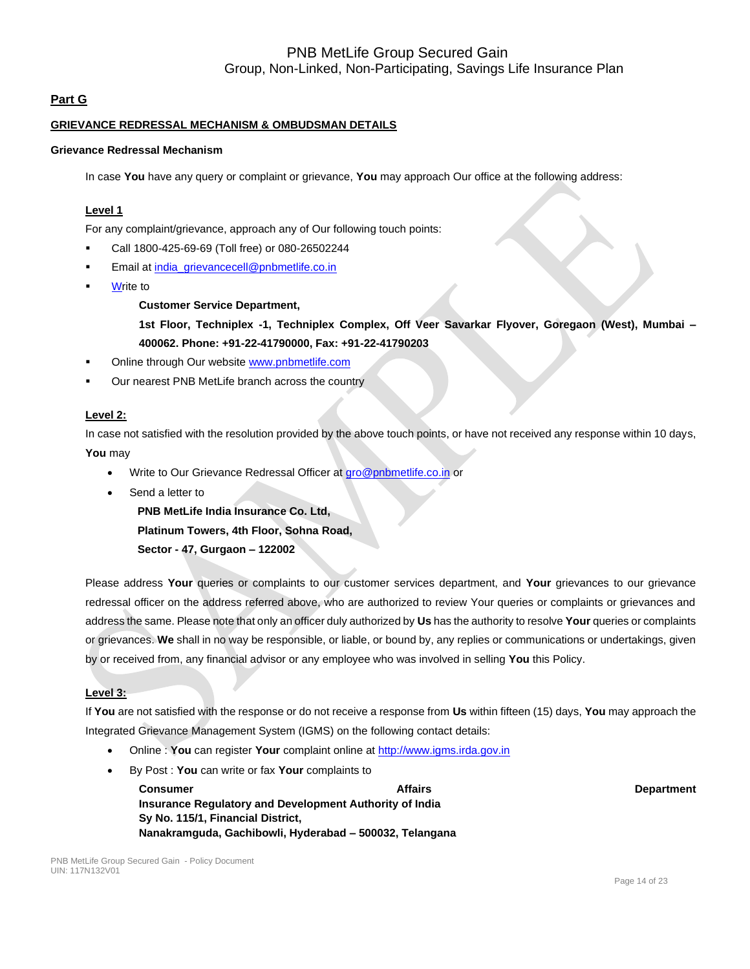## **Part G**

### **GRIEVANCE REDRESSAL MECHANISM & OMBUDSMAN DETAILS**

### **Grievance Redressal Mechanism**

In case **You** have any query or complaint or grievance, **You** may approach Our office at the following address:

### **Level 1**

For any complaint/grievance, approach any of Our following touch points:

- Call 1800-425-69-69 (Toll free) or 080-26502244
- Email at [india\\_grievancecell@pnbmetlife.co.in](mailto:india_grievancecell@pnbmetlife.co.in)
- **Write to**

### **Customer Service Department,**

**1st Floor, Techniplex -1, Techniplex Complex, Off Veer Savarkar Flyover, Goregaon (West), Mumbai – 400062. Phone: +91-22-41790000, Fax: +91-22-41790203**

- Online through Our website [www.pnbmetlife.com](http://www.pnbmetlife.com/)
- Our nearest PNB MetLife branch across the country

### **Level 2:**

In case not satisfied with the resolution provided by the above touch points, or have not received any response within 10 days, **You** may

- Write to Our Grievance Redressal Officer at [gro@pnbmetlife.co.in](mailto:gro@pnbmetlife.co.in) or
- Send a letter to

**PNB MetLife India Insurance Co. Ltd,**

**Platinum Towers, 4th Floor, Sohna Road,** 

**Sector - 47, Gurgaon – 122002**

Please address **Your** queries or complaints to our customer services department, and **Your** grievances to our grievance redressal officer on the address referred above, who are authorized to review Your queries or complaints or grievances and address the same. Please note that only an officer duly authorized by **Us** has the authority to resolve **Your** queries or complaints or grievances. **We** shall in no way be responsible, or liable, or bound by, any replies or communications or undertakings, given by or received from, any financial advisor or any employee who was involved in selling **You** this Policy.

### **Level 3:**

If **You** are not satisfied with the response or do not receive a response from **Us** within fifteen (15) days, **You** may approach the Integrated Grievance Management System (IGMS) on the following contact details:

- Online : **You** can register **Your** complaint online at [http://www.igms.irda.gov.in](http://www.igms.irda.gov.in/)
- By Post : **You** can write or fax **Your** complaints to

**Consumer Consumer Affairs Affairs Affairs Adventured Affairs** Department **Insurance Regulatory and Development Authority of India Sy No. 115/1, Financial District, Nanakramguda, Gachibowli, Hyderabad – 500032, Telangana**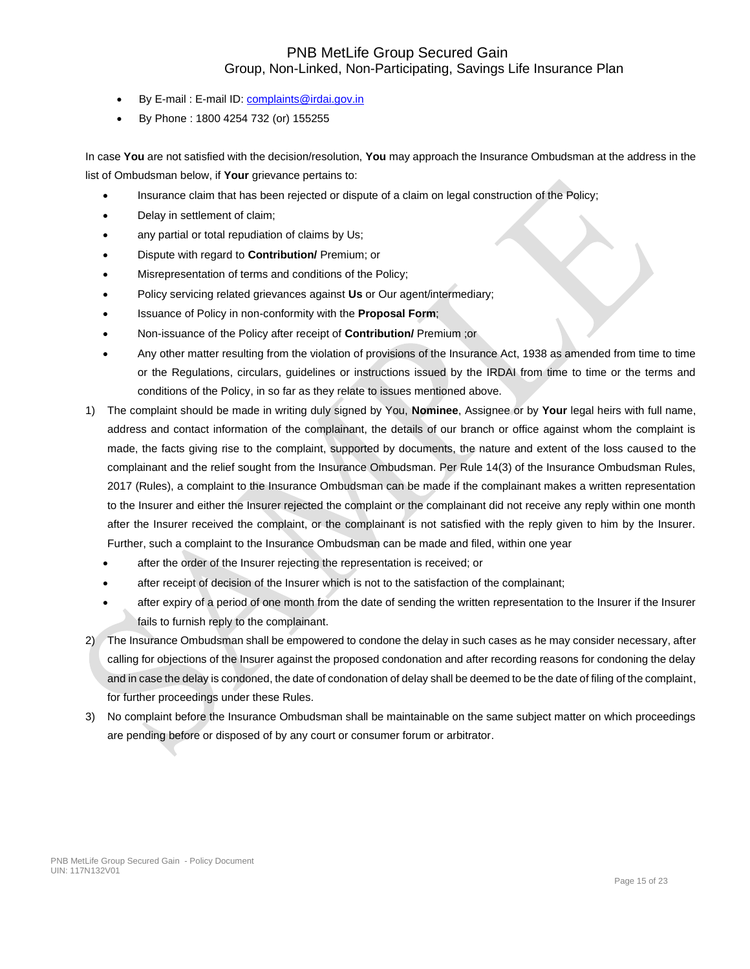- By E-mail : E-mail ID[: complaints@irdai.gov.in](mailto:complaints@irdai.gov.in)
- By Phone : 1800 4254 732 (or) 155255

In case **You** are not satisfied with the decision/resolution, **You** may approach the Insurance Ombudsman at the address in the list of Ombudsman below, if **Your** grievance pertains to:

- Insurance claim that has been rejected or dispute of a claim on legal construction of the Policy;
- Delay in settlement of claim;
- any partial or total repudiation of claims by Us;
- Dispute with regard to **Contribution/** Premium; or
- Misrepresentation of terms and conditions of the Policy;
- Policy servicing related grievances against **Us** or Our agent/intermediary;
- Issuance of Policy in non-conformity with the **Proposal Form**;
- Non-issuance of the Policy after receipt of **Contribution/** Premium ;or
- Any other matter resulting from the violation of provisions of the Insurance Act, 1938 as amended from time to time or the Regulations, circulars, guidelines or instructions issued by the IRDAI from time to time or the terms and conditions of the Policy, in so far as they relate to issues mentioned above.
- 1) The complaint should be made in writing duly signed by You, **Nominee**, Assignee or by **Your** legal heirs with full name, address and contact information of the complainant, the details of our branch or office against whom the complaint is made, the facts giving rise to the complaint, supported by documents, the nature and extent of the loss caused to the complainant and the relief sought from the Insurance Ombudsman. Per Rule 14(3) of the Insurance Ombudsman Rules, 2017 (Rules), a complaint to the Insurance Ombudsman can be made if the complainant makes a written representation to the Insurer and either the Insurer rejected the complaint or the complainant did not receive any reply within one month after the Insurer received the complaint, or the complainant is not satisfied with the reply given to him by the Insurer. Further, such a complaint to the Insurance Ombudsman can be made and filed, within one year
	- after the order of the Insurer rejecting the representation is received; or
	- after receipt of decision of the Insurer which is not to the satisfaction of the complainant;
	- after expiry of a period of one month from the date of sending the written representation to the Insurer if the Insurer fails to furnish reply to the complainant.
- 2) The Insurance Ombudsman shall be empowered to condone the delay in such cases as he may consider necessary, after calling for objections of the Insurer against the proposed condonation and after recording reasons for condoning the delay and in case the delay is condoned, the date of condonation of delay shall be deemed to be the date of filing of the complaint, for further proceedings under these Rules.
- 3) No complaint before the Insurance Ombudsman shall be maintainable on the same subject matter on which proceedings are pending before or disposed of by any court or consumer forum or arbitrator.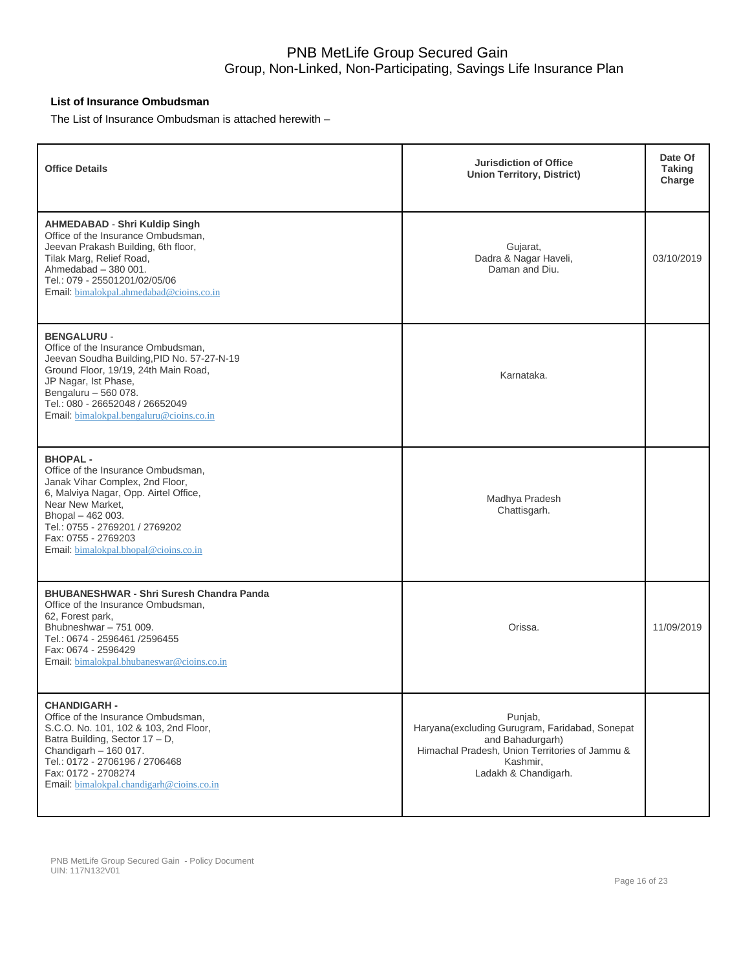## **List of Insurance Ombudsman**

The List of Insurance Ombudsman is attached herewith –

| <b>Office Details</b>                                                                                                                                                                                                                                                         | <b>Jurisdiction of Office</b><br><b>Union Territory, District)</b>                                                                                                  | Date Of<br><b>Taking</b><br>Charge |
|-------------------------------------------------------------------------------------------------------------------------------------------------------------------------------------------------------------------------------------------------------------------------------|---------------------------------------------------------------------------------------------------------------------------------------------------------------------|------------------------------------|
| <b>AHMEDABAD - Shri Kuldip Singh</b><br>Office of the Insurance Ombudsman,<br>Jeevan Prakash Building, 6th floor,<br>Tilak Marg, Relief Road,<br>Ahmedabad - 380 001.<br>Tel.: 079 - 25501201/02/05/06<br>Email: bimalokpal.ahmedabad@cioins.co.in                            | Gujarat,<br>Dadra & Nagar Haveli,<br>Daman and Diu.                                                                                                                 | 03/10/2019                         |
| <b>BENGALURU -</b><br>Office of the Insurance Ombudsman,<br>Jeevan Soudha Building, PID No. 57-27-N-19<br>Ground Floor, 19/19, 24th Main Road,<br>JP Nagar, Ist Phase,<br>Bengaluru - 560 078.<br>Tel.: 080 - 26652048 / 26652049<br>Email: bimalokpal.bengaluru@cioins.co.in | Karnataka.                                                                                                                                                          |                                    |
| <b>BHOPAL-</b><br>Office of the Insurance Ombudsman.<br>Janak Vihar Complex, 2nd Floor,<br>6, Malviya Nagar, Opp. Airtel Office,<br>Near New Market,<br>Bhopal - 462 003.<br>Tel.: 0755 - 2769201 / 2769202<br>Fax: 0755 - 2769203<br>Email: bimalokpal.bhopal@cioins.co.in   | Madhya Pradesh<br>Chattisgarh.                                                                                                                                      |                                    |
| <b>BHUBANESHWAR - Shri Suresh Chandra Panda</b><br>Office of the Insurance Ombudsman,<br>62, Forest park,<br>Bhubneshwar - 751 009.<br>Tel.: 0674 - 2596461 /2596455<br>Fax: 0674 - 2596429<br>Email: bimalokpal.bhubaneswar@cioins.co.in                                     | Orissa.                                                                                                                                                             | 11/09/2019                         |
| <b>CHANDIGARH -</b><br>Office of the Insurance Ombudsman,<br>S.C.O. No. 101, 102 & 103, 2nd Floor,<br>Batra Building, Sector 17 - D,<br>Chandigarh $-160017$ .<br>Tel.: 0172 - 2706196 / 2706468<br>Fax: 0172 - 2708274<br>Email: bimalokpal.chandigarh@cioins.co.in          | Punjab,<br>Haryana(excluding Gurugram, Faridabad, Sonepat<br>and Bahadurgarh)<br>Himachal Pradesh, Union Territories of Jammu &<br>Kashmir,<br>Ladakh & Chandigarh. |                                    |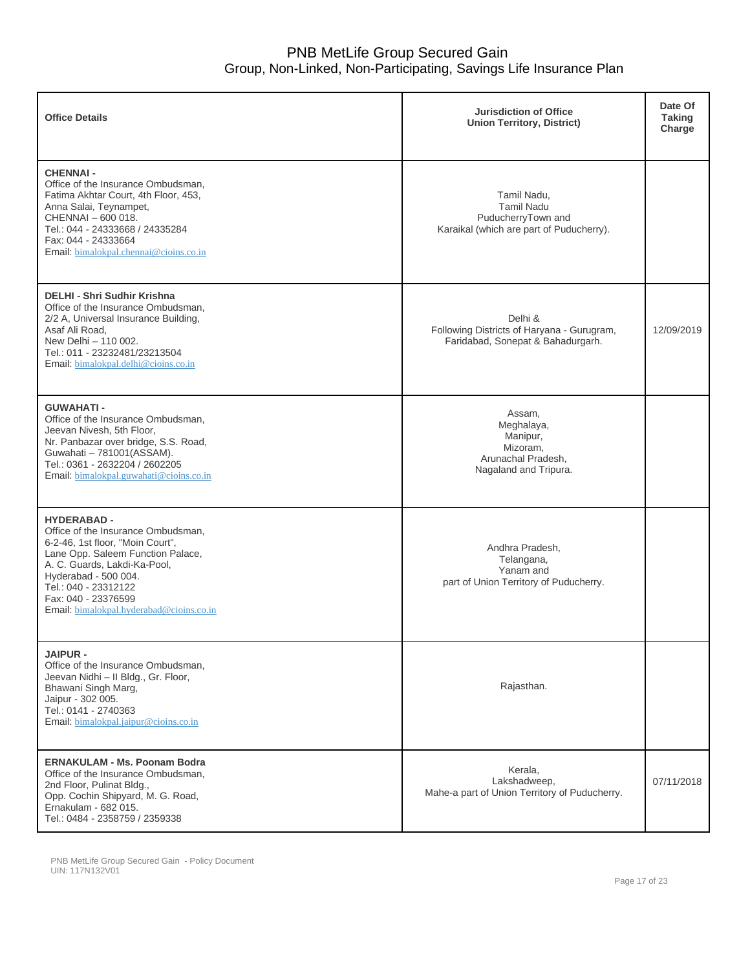| <b>Office Details</b>                                                                                                                                                                                                                                                                | <b>Jurisdiction of Office</b><br><b>Union Territory, District)</b>                                 | Date Of<br><b>Taking</b><br>Charge |
|--------------------------------------------------------------------------------------------------------------------------------------------------------------------------------------------------------------------------------------------------------------------------------------|----------------------------------------------------------------------------------------------------|------------------------------------|
| <b>CHENNAI-</b><br>Office of the Insurance Ombudsman,<br>Fatima Akhtar Court, 4th Floor, 453,<br>Anna Salai, Teynampet,<br>CHENNAI - 600 018.<br>Tel.: 044 - 24333668 / 24335284<br>Fax: 044 - 24333664<br>Email: bimalokpal.chennai@cioins.co.in                                    | Tamil Nadu,<br><b>Tamil Nadu</b><br>PuducherryTown and<br>Karaikal (which are part of Puducherry). |                                    |
| <b>DELHI - Shri Sudhir Krishna</b><br>Office of the Insurance Ombudsman,<br>2/2 A, Universal Insurance Building,<br>Asaf Ali Road,<br>New Delhi - 110 002.<br>Tel.: 011 - 23232481/23213504<br>Email: bimalokpal.delhi@cioins.co.in                                                  | Delhi &<br>Following Districts of Haryana - Gurugram,<br>Faridabad, Sonepat & Bahadurgarh.         | 12/09/2019                         |
| <b>GUWAHATI-</b><br>Office of the Insurance Ombudsman,<br>Jeevan Nivesh, 5th Floor,<br>Nr. Panbazar over bridge, S.S. Road,<br>Guwahati - 781001(ASSAM).<br>Tel.: 0361 - 2632204 / 2602205<br>Email: bimalokpal.guwahati@cioins.co.in                                                | Assam,<br>Meghalaya,<br>Manipur,<br>Mizoram,<br>Arunachal Pradesh,<br>Nagaland and Tripura.        |                                    |
| <b>HYDERABAD -</b><br>Office of the Insurance Ombudsman,<br>6-2-46, 1st floor, "Moin Court",<br>Lane Opp. Saleem Function Palace,<br>A. C. Guards, Lakdi-Ka-Pool,<br>Hyderabad - 500 004.<br>Tel.: 040 - 23312122<br>Fax: 040 - 23376599<br>Email: bimalokpal.hyderabad@cioins.co.in | Andhra Pradesh,<br>Telangana,<br>Yanam and<br>part of Union Territory of Puducherry.               |                                    |
| <b>JAIPUR -</b><br>Office of the Insurance Ombudsman,<br>Jeevan Nidhi - II Bldg., Gr. Floor,<br>Bhawani Singh Marg,<br>Jaipur - 302 005.<br>Tel.: 0141 - 2740363<br>Email: bimalokpal.jaipur@cioins.co.in                                                                            | Rajasthan.                                                                                         |                                    |
| <b>ERNAKULAM - Ms. Poonam Bodra</b><br>Office of the Insurance Ombudsman,<br>2nd Floor, Pulinat Bldg.,<br>Opp. Cochin Shipyard, M. G. Road,<br>Ernakulam - 682 015.<br>Tel.: 0484 - 2358759 / 2359338                                                                                | Kerala,<br>Lakshadweep.<br>Mahe-a part of Union Territory of Puducherry.                           | 07/11/2018                         |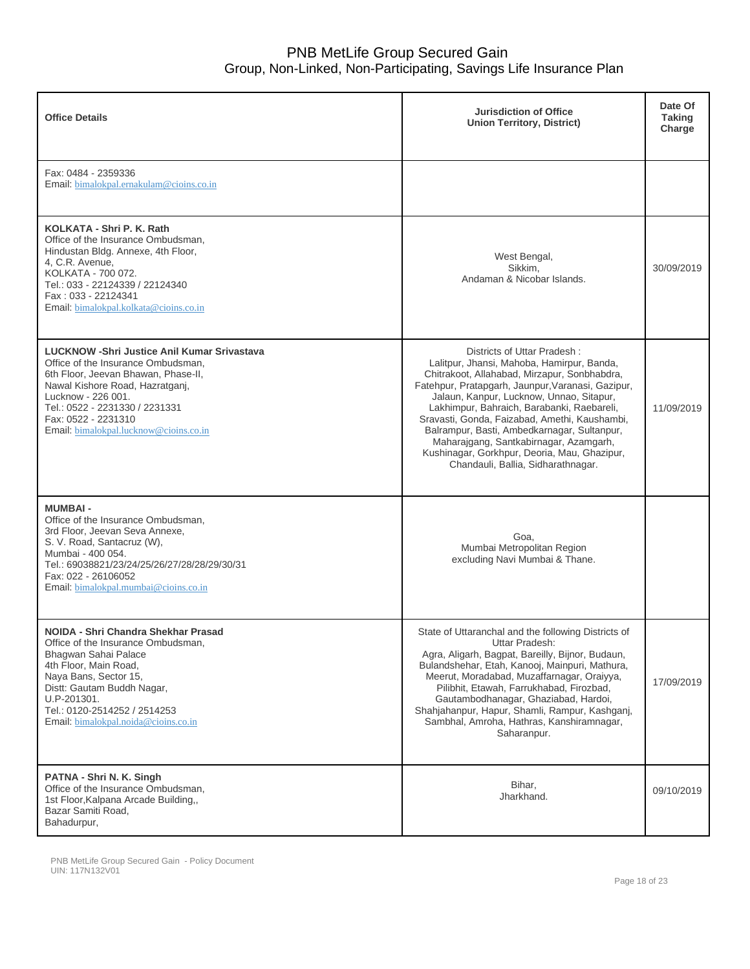| <b>Office Details</b>                                                                                                                                                                                                                                                                       | <b>Jurisdiction of Office</b><br><b>Union Territory, District)</b>                                                                                                                                                                                                                                                                                                                                                                                                                                       | Date Of<br><b>Taking</b><br>Charge |
|---------------------------------------------------------------------------------------------------------------------------------------------------------------------------------------------------------------------------------------------------------------------------------------------|----------------------------------------------------------------------------------------------------------------------------------------------------------------------------------------------------------------------------------------------------------------------------------------------------------------------------------------------------------------------------------------------------------------------------------------------------------------------------------------------------------|------------------------------------|
| Fax: 0484 - 2359336<br>Email: bimalokpal.ernakulam@cioins.co.in                                                                                                                                                                                                                             |                                                                                                                                                                                                                                                                                                                                                                                                                                                                                                          |                                    |
| KOLKATA - Shri P. K. Rath<br>Office of the Insurance Ombudsman,<br>Hindustan Bldg. Annexe, 4th Floor,<br>4, C.R. Avenue,<br>KOLKATA - 700 072.<br>Tel.: 033 - 22124339 / 22124340<br>Fax: 033 - 22124341<br>Email: bimalokpal.kolkata@cioins.co.in                                          | West Bengal,<br>Sikkim,<br>Andaman & Nicobar Islands.                                                                                                                                                                                                                                                                                                                                                                                                                                                    | 30/09/2019                         |
| <b>LUCKNOW -Shri Justice Anil Kumar Srivastava</b><br>Office of the Insurance Ombudsman.<br>6th Floor, Jeevan Bhawan, Phase-II,<br>Nawal Kishore Road, Hazratganj,<br>Lucknow - 226 001.<br>Tel.: 0522 - 2231330 / 2231331<br>Fax: 0522 - 2231310<br>Email: bimalokpal.lucknow@cioins.co.in | Districts of Uttar Pradesh:<br>Lalitpur, Jhansi, Mahoba, Hamirpur, Banda,<br>Chitrakoot, Allahabad, Mirzapur, Sonbhabdra,<br>Fatehpur, Pratapgarh, Jaunpur, Varanasi, Gazipur,<br>Jalaun, Kanpur, Lucknow, Unnao, Sitapur,<br>Lakhimpur, Bahraich, Barabanki, Raebareli,<br>Sravasti, Gonda, Faizabad, Amethi, Kaushambi,<br>Balrampur, Basti, Ambedkarnagar, Sultanpur,<br>Maharajgang, Santkabirnagar, Azamgarh,<br>Kushinagar, Gorkhpur, Deoria, Mau, Ghazipur,<br>Chandauli, Ballia, Sidharathnagar. | 11/09/2019                         |
| <b>MUMBAI-</b><br>Office of the Insurance Ombudsman,<br>3rd Floor, Jeevan Seva Annexe,<br>S. V. Road, Santacruz (W),<br>Mumbai - 400 054.<br>Tel.: 69038821/23/24/25/26/27/28/28/29/30/31<br>Fax: 022 - 26106052<br>Email: bimalokpal.mumbai@cioins.co.in                                   | Goa.<br>Mumbai Metropolitan Region<br>excluding Navi Mumbai & Thane.                                                                                                                                                                                                                                                                                                                                                                                                                                     |                                    |
| NOIDA - Shri Chandra Shekhar Prasad<br>Office of the Insurance Ombudsman,<br>Bhagwan Sahai Palace<br>4th Floor, Main Road,<br>Naya Bans, Sector 15,<br>Distt: Gautam Buddh Nagar,<br>U.P-201301.<br>Tel.: 0120-2514252 / 2514253<br>Email: bimalokpal.noida@cioins.co.in                    | State of Uttaranchal and the following Districts of<br>Uttar Pradesh:<br>Agra, Aligarh, Bagpat, Bareilly, Bijnor, Budaun,<br>Bulandshehar, Etah, Kanooj, Mainpuri, Mathura,<br>Meerut, Moradabad, Muzaffarnagar, Oraiyya,<br>Pilibhit, Etawah, Farrukhabad, Firozbad,<br>Gautambodhanagar, Ghaziabad, Hardoi,<br>Shahjahanpur, Hapur, Shamli, Rampur, Kashganj,<br>Sambhal, Amroha, Hathras, Kanshiramnagar,<br>Saharanpur.                                                                              | 17/09/2019                         |
| PATNA - Shri N. K. Singh<br>Office of the Insurance Ombudsman,<br>1st Floor, Kalpana Arcade Building,,<br>Bazar Samiti Road,<br>Bahadurpur,                                                                                                                                                 | Bihar,<br>Jharkhand.                                                                                                                                                                                                                                                                                                                                                                                                                                                                                     | 09/10/2019                         |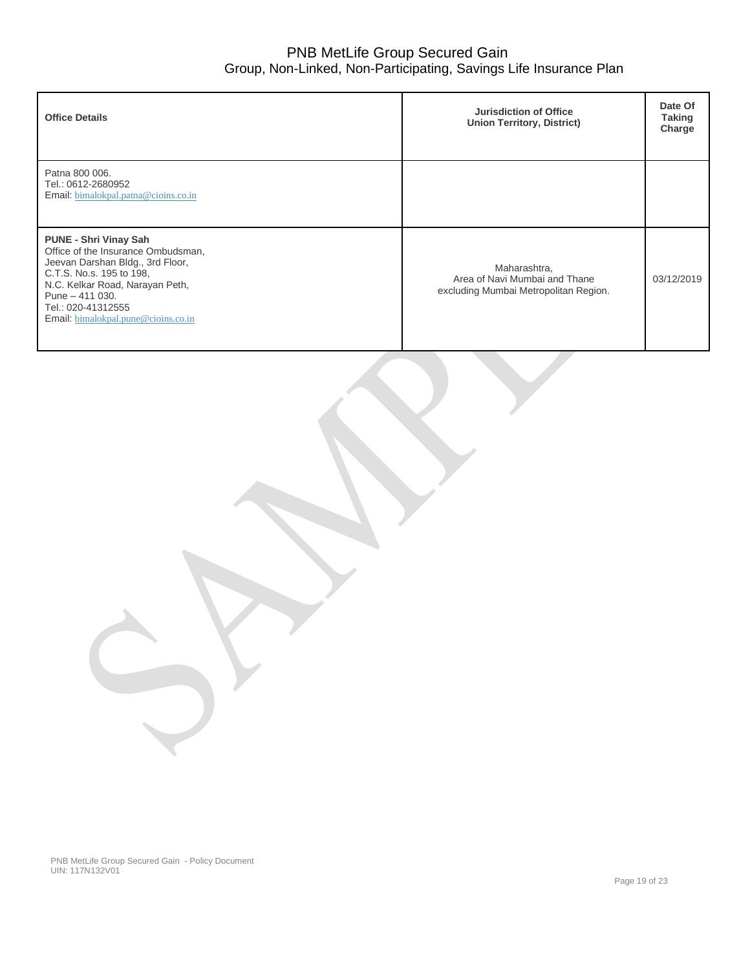| <b>Office Details</b>                                                                                                                                                                                                                                  | Jurisdiction of Office<br><b>Union Territory, District)</b>                            | Date Of<br><b>Taking</b><br>Charge |
|--------------------------------------------------------------------------------------------------------------------------------------------------------------------------------------------------------------------------------------------------------|----------------------------------------------------------------------------------------|------------------------------------|
| Patna 800 006.<br>Tel.: 0612-2680952<br>Email: bimalokpal.patna@cioins.co.in                                                                                                                                                                           |                                                                                        |                                    |
| <b>PUNE - Shri Vinay Sah</b><br>Office of the Insurance Ombudsman,<br>Jeevan Darshan Bldg., 3rd Floor,<br>C.T.S. No.s. 195 to 198,<br>N.C. Kelkar Road, Narayan Peth,<br>Pune $-411$ 030.<br>Tel.: 020-41312555<br>Email: bimalokpal.pune@cioins.co.in | Maharashtra,<br>Area of Navi Mumbai and Thane<br>excluding Mumbai Metropolitan Region. | 03/12/2019                         |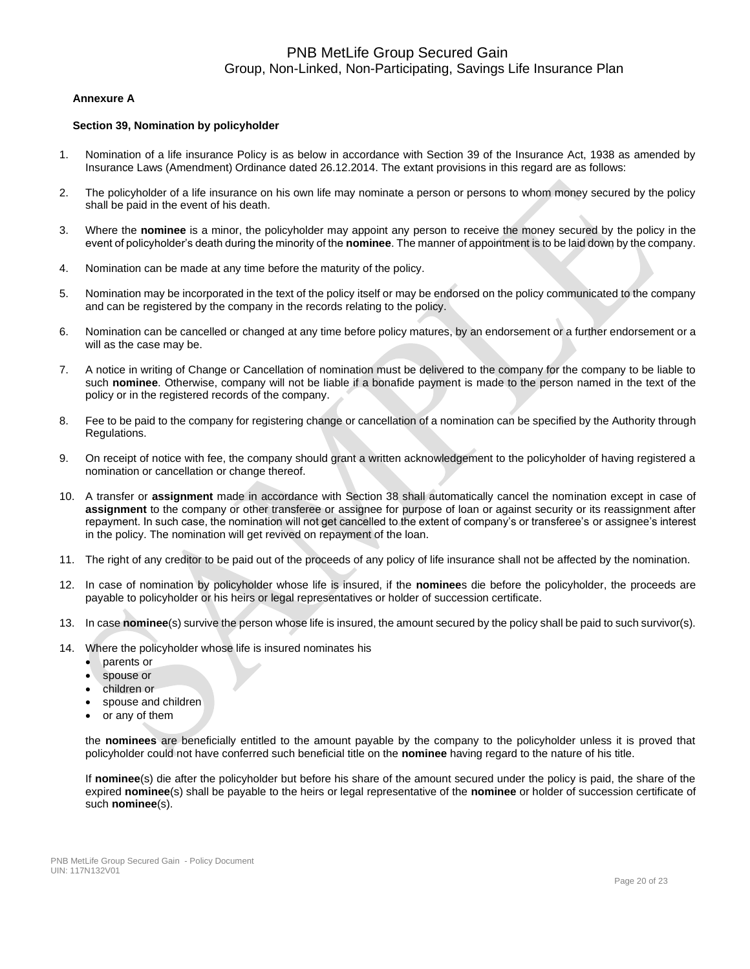### **Annexure A**

#### **Section 39, Nomination by policyholder**

- 1. Nomination of a life insurance Policy is as below in accordance with Section 39 of the Insurance Act, 1938 as amended by Insurance Laws (Amendment) Ordinance dated 26.12.2014. The extant provisions in this regard are as follows:
- 2. The policyholder of a life insurance on his own life may nominate a person or persons to whom money secured by the policy shall be paid in the event of his death.
- 3. Where the **nominee** is a minor, the policyholder may appoint any person to receive the money secured by the policy in the event of policyholder's death during the minority of the **nominee**. The manner of appointment is to be laid down by the company.
- 4. Nomination can be made at any time before the maturity of the policy.
- 5. Nomination may be incorporated in the text of the policy itself or may be endorsed on the policy communicated to the company and can be registered by the company in the records relating to the policy.
- 6. Nomination can be cancelled or changed at any time before policy matures, by an endorsement or a further endorsement or a will as the case may be.
- 7. A notice in writing of Change or Cancellation of nomination must be delivered to the company for the company to be liable to such **nominee**. Otherwise, company will not be liable if a bonafide payment is made to the person named in the text of the policy or in the registered records of the company.
- 8. Fee to be paid to the company for registering change or cancellation of a nomination can be specified by the Authority through Regulations.
- 9. On receipt of notice with fee, the company should grant a written acknowledgement to the policyholder of having registered a nomination or cancellation or change thereof.
- 10. A transfer or **assignment** made in accordance with Section 38 shall automatically cancel the nomination except in case of **assignment** to the company or other transferee or assignee for purpose of loan or against security or its reassignment after repayment. In such case, the nomination will not get cancelled to the extent of company's or transferee's or assignee's interest in the policy. The nomination will get revived on repayment of the loan.
- 11. The right of any creditor to be paid out of the proceeds of any policy of life insurance shall not be affected by the nomination.
- 12. In case of nomination by policyholder whose life is insured, if the **nominee**s die before the policyholder, the proceeds are payable to policyholder or his heirs or legal representatives or holder of succession certificate.
- 13. In case **nominee**(s) survive the person whose life is insured, the amount secured by the policy shall be paid to such survivor(s).
- 14. Where the policyholder whose life is insured nominates his
	- parents or
	- spouse or
	- children or
	- spouse and children
	- or any of them

the **nominees** are beneficially entitled to the amount payable by the company to the policyholder unless it is proved that policyholder could not have conferred such beneficial title on the **nominee** having regard to the nature of his title.

If **nominee**(s) die after the policyholder but before his share of the amount secured under the policy is paid, the share of the expired **nominee**(s) shall be payable to the heirs or legal representative of the **nominee** or holder of succession certificate of such **nominee**(s).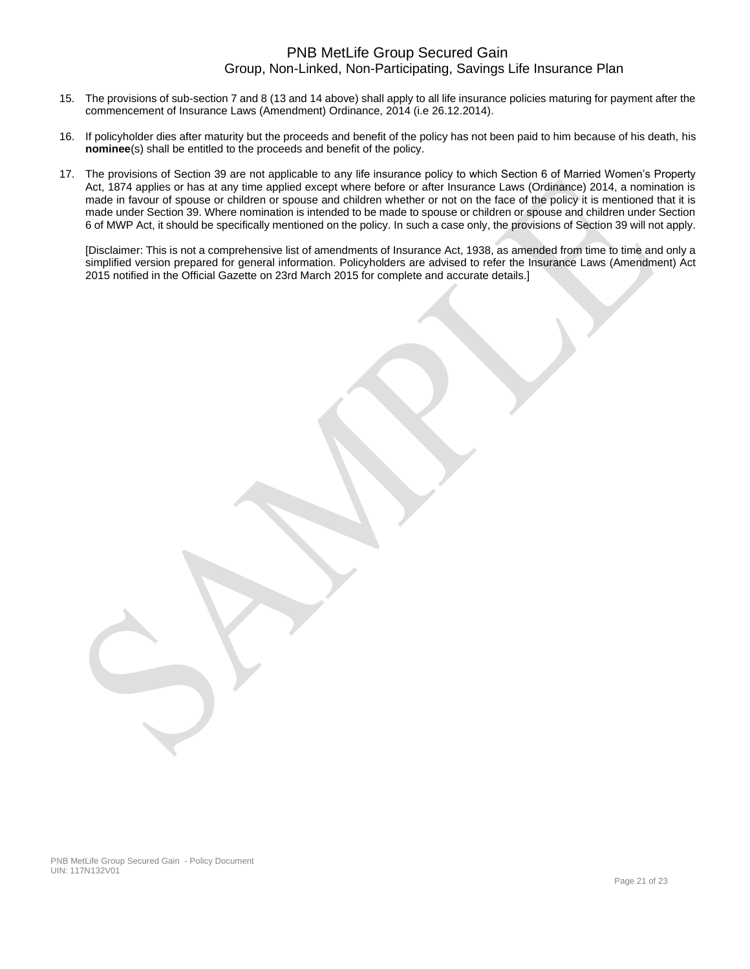- 15. The provisions of sub-section 7 and 8 (13 and 14 above) shall apply to all life insurance policies maturing for payment after the commencement of Insurance Laws (Amendment) Ordinance, 2014 (i.e 26.12.2014).
- 16. If policyholder dies after maturity but the proceeds and benefit of the policy has not been paid to him because of his death, his **nominee**(s) shall be entitled to the proceeds and benefit of the policy.
- 17. The provisions of Section 39 are not applicable to any life insurance policy to which Section 6 of Married Women's Property Act, 1874 applies or has at any time applied except where before or after Insurance Laws (Ordinance) 2014, a nomination is made in favour of spouse or children or spouse and children whether or not on the face of the policy it is mentioned that it is made under Section 39. Where nomination is intended to be made to spouse or children or spouse and children under Section 6 of MWP Act, it should be specifically mentioned on the policy. In such a case only, the provisions of Section 39 will not apply.

[Disclaimer: This is not a comprehensive list of amendments of Insurance Act, 1938, as amended from time to time and only a simplified version prepared for general information. Policyholders are advised to refer the Insurance Laws (Amendment) Act 2015 notified in the Official Gazette on 23rd March 2015 for complete and accurate details.]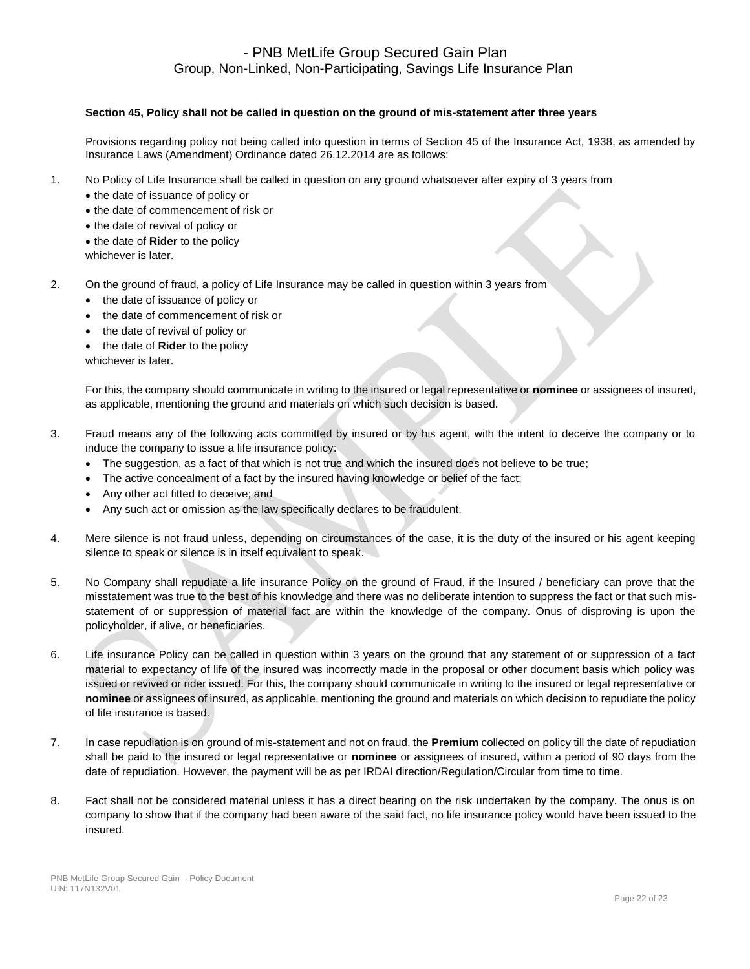### **Section 45, Policy shall not be called in question on the ground of mis-statement after three years**

Provisions regarding policy not being called into question in terms of Section 45 of the Insurance Act, 1938, as amended by Insurance Laws (Amendment) Ordinance dated 26.12.2014 are as follows:

- 1. No Policy of Life Insurance shall be called in question on any ground whatsoever after expiry of 3 years from
	- the date of issuance of policy or
	- the date of commencement of risk or
	- the date of revival of policy or
	- the date of **Rider** to the policy
	- whichever is later.
- 2. On the ground of fraud, a policy of Life Insurance may be called in question within 3 years from
	- the date of issuance of policy or
	- the date of commencement of risk or
	- the date of revival of policy or
	- the date of **Rider** to the policy

whichever is later.

For this, the company should communicate in writing to the insured or legal representative or **nominee** or assignees of insured, as applicable, mentioning the ground and materials on which such decision is based.

- 3. Fraud means any of the following acts committed by insured or by his agent, with the intent to deceive the company or to induce the company to issue a life insurance policy:
	- The suggestion, as a fact of that which is not true and which the insured does not believe to be true;
	- The active concealment of a fact by the insured having knowledge or belief of the fact;
	- Any other act fitted to deceive; and
	- Any such act or omission as the law specifically declares to be fraudulent.
- 4. Mere silence is not fraud unless, depending on circumstances of the case, it is the duty of the insured or his agent keeping silence to speak or silence is in itself equivalent to speak.
- 5. No Company shall repudiate a life insurance Policy on the ground of Fraud, if the Insured / beneficiary can prove that the misstatement was true to the best of his knowledge and there was no deliberate intention to suppress the fact or that such misstatement of or suppression of material fact are within the knowledge of the company. Onus of disproving is upon the policyholder, if alive, or beneficiaries.
- 6. Life insurance Policy can be called in question within 3 years on the ground that any statement of or suppression of a fact material to expectancy of life of the insured was incorrectly made in the proposal or other document basis which policy was issued or revived or rider issued. For this, the company should communicate in writing to the insured or legal representative or **nominee** or assignees of insured, as applicable, mentioning the ground and materials on which decision to repudiate the policy of life insurance is based.
- 7. In case repudiation is on ground of mis-statement and not on fraud, the **Premium** collected on policy till the date of repudiation shall be paid to the insured or legal representative or **nominee** or assignees of insured, within a period of 90 days from the date of repudiation. However, the payment will be as per IRDAI direction/Regulation/Circular from time to time.
- 8. Fact shall not be considered material unless it has a direct bearing on the risk undertaken by the company. The onus is on company to show that if the company had been aware of the said fact, no life insurance policy would have been issued to the insured.